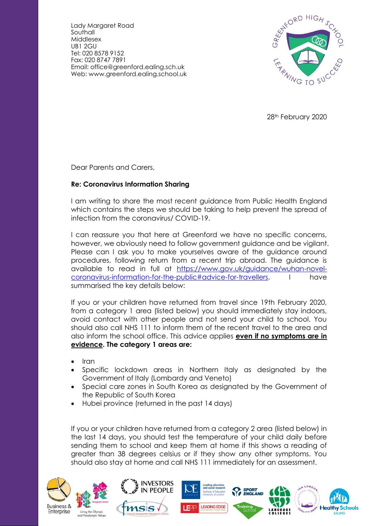Lady Margaret Road **Southall** Middlesex UB1 2GU Tel: 020 8578 9152 Fax: 020 8747 7891 Email: office@greenford.ealing.sch.uk Web: www.greenford.ealing.school.uk



28th February 2020

Dear Parents and Carers,

## **Re: Coronavirus Information Sharing**

I am writing to share the most recent guidance from Public Health England which contains the steps we should be taking to help prevent the spread of infection from the coronavirus/ COVID-19.

I can reassure you that here at Greenford we have no specific concerns, however, we obviously need to follow government guidance and be vigilant. Please can I ask you to make yourselves aware of the guidance around procedures, following return from a recent trip abroad. The guidance is available to read in full at [https://www.gov.uk/guidance/wuhan-novel](https://www.gov.uk/guidance/wuhan-novel-coronavirus-information-for-the-public#advice-for-travellers)[coronavirus-information-for-the-public#advice-for-travellers.](https://www.gov.uk/guidance/wuhan-novel-coronavirus-information-for-the-public#advice-for-travellers) I have summarised the key details below:

If you or your children have returned from travel since 19th February 2020, from a category 1 area (listed below) you should immediately stay indoors, avoid contact with other people and not send your child to school. You should also call NHS 111 to inform them of the recent travel to the area and also inform the school office. This advice applies **even if no symptoms are in evidence. The category 1 areas are:**

- Iran
- Specific lockdown areas in Northern Italy as designated by the Government of Italy (Lombardy and Veneto)
- Special care zones in South Korea as designated by the Government of the Republic of South Korea
- Hubei province (returned in the past 14 days)

If you or your children have returned from a category 2 area (listed below) in the last 14 days, you should test the temperature of your child daily before sending them to school and keep them at home if this shows a reading of greater than 38 degrees celsius or if they show any other symptoms. You should also stay at home and call NHS 111 immediately for an assessment.